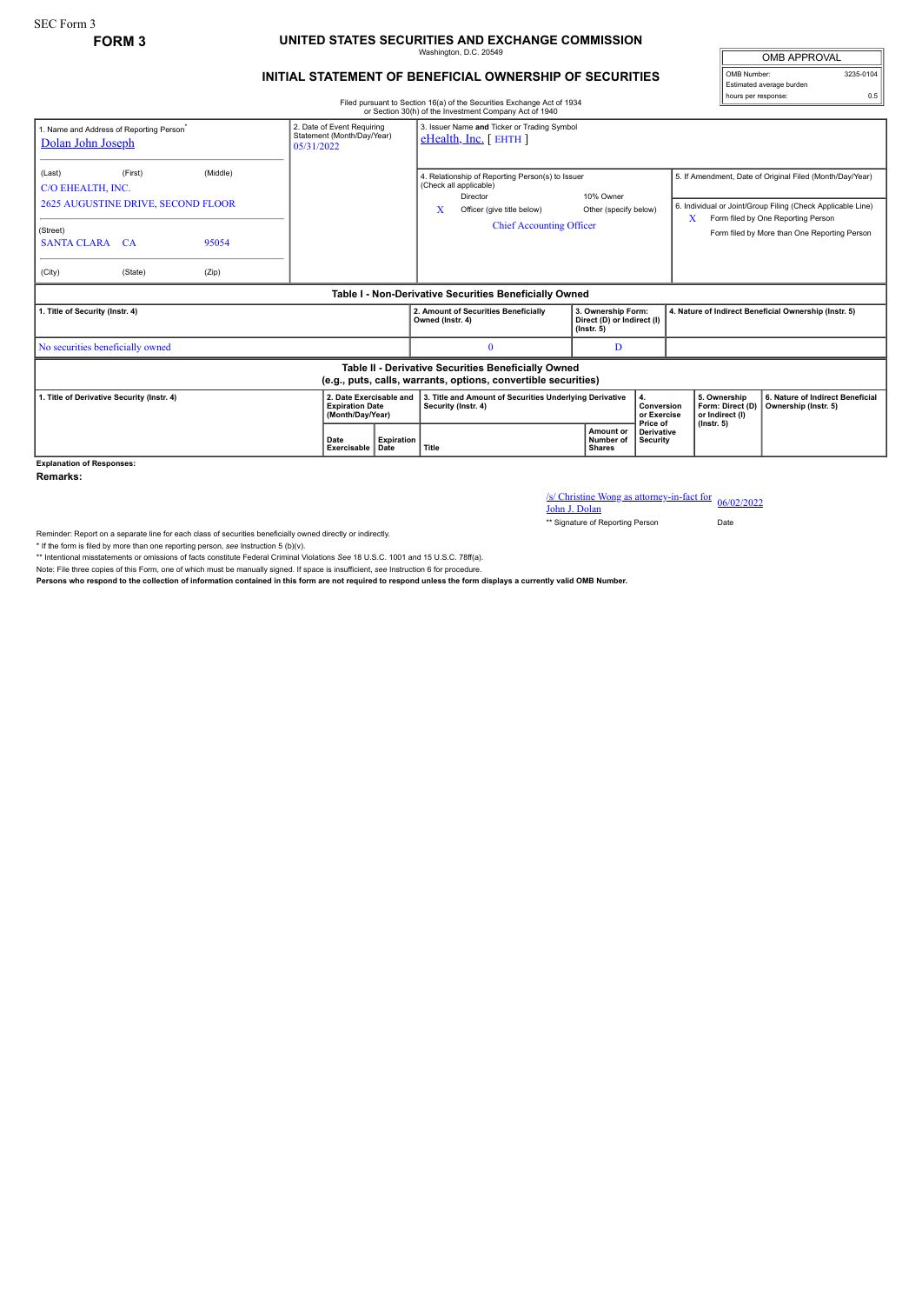## **FORM 3 UNITED STATES SECURITIES AND EXCHANGE COMMISSION** Washington, D.C. 20549

## **INITIAL STATEMENT OF BENEFICIAL OWNERSHIP OF SECURITIES**

Filed pursuant to Section 16(a) of the Securities Exchange Act of 1934 or Section 30(h) of the Investment Company Act of 1940

| <b>OMB APPROVAL</b>      |           |
|--------------------------|-----------|
| OMB Number:              | 3235-0104 |
| Estimated average burden |           |
| hours per response:      |           |

|                                                                                                                       |                                                                        |                     |                                                                          |                                                                       |                                                                                                                                                              | or Section 30(h) of the Investment Company Act of 1940                         |                                                                                      |                                    |  |                                                                                                                                                                                                                    |                  |                                                          |
|-----------------------------------------------------------------------------------------------------------------------|------------------------------------------------------------------------|---------------------|--------------------------------------------------------------------------|-----------------------------------------------------------------------|--------------------------------------------------------------------------------------------------------------------------------------------------------------|--------------------------------------------------------------------------------|--------------------------------------------------------------------------------------|------------------------------------|--|--------------------------------------------------------------------------------------------------------------------------------------------------------------------------------------------------------------------|------------------|----------------------------------------------------------|
| . Name and Address of Reporting Person <sup>®</sup><br>Dolan John Joseph                                              | 2. Date of Event Requiring<br>Statement (Month/Day/Year)<br>05/31/2022 |                     | 3. Issuer Name and Ticker or Trading Symbol<br>$e$ Health, Inc. [ EHTH ] |                                                                       |                                                                                                                                                              |                                                                                |                                                                                      |                                    |  |                                                                                                                                                                                                                    |                  |                                                          |
| (Last)<br>C/O EHEALTH, INC.<br>(Street)                                                                               | (First)<br>(Middle)<br>2625 AUGUSTINE DRIVE, SECOND FLOOR              |                     |                                                                          |                                                                       | 4. Relationship of Reporting Person(s) to Issuer<br>(Check all applicable)<br>Director<br>X<br>Officer (give title below)<br><b>Chief Accounting Officer</b> |                                                                                |                                                                                      | 10% Owner<br>Other (specify below) |  | 5. If Amendment, Date of Original Filed (Month/Day/Year)<br>6. Individual or Joint/Group Filing (Check Applicable Line)<br>Form filed by One Reporting Person<br>X<br>Form filed by More than One Reporting Person |                  |                                                          |
| <b>SANTA CLARA CA</b><br>(City)                                                                                       | (State)                                                                | 95054<br>(Zip)      |                                                                          |                                                                       |                                                                                                                                                              |                                                                                |                                                                                      |                                    |  |                                                                                                                                                                                                                    |                  |                                                          |
| Table I - Non-Derivative Securities Beneficially Owned                                                                |                                                                        |                     |                                                                          |                                                                       |                                                                                                                                                              |                                                                                |                                                                                      |                                    |  |                                                                                                                                                                                                                    |                  |                                                          |
| . Title of Security (Instr. 4)                                                                                        |                                                                        |                     |                                                                          |                                                                       | Owned (Instr. 4)                                                                                                                                             | 2. Amount of Securities Beneficially                                           | 3. Ownership Form:<br>Direct (D) or Indirect (I)<br>$($ lnstr. 5 $)$                 |                                    |  | 4. Nature of Indirect Beneficial Ownership (Instr. 5)                                                                                                                                                              |                  |                                                          |
| No securities beneficially owned                                                                                      |                                                                        |                     |                                                                          |                                                                       |                                                                                                                                                              | $\theta$                                                                       |                                                                                      | D                                  |  |                                                                                                                                                                                                                    |                  |                                                          |
| Table II - Derivative Securities Beneficially Owned<br>(e.g., puts, calls, warrants, options, convertible securities) |                                                                        |                     |                                                                          |                                                                       |                                                                                                                                                              |                                                                                |                                                                                      |                                    |  |                                                                                                                                                                                                                    |                  |                                                          |
| 1. Title of Derivative Security (Instr. 4)                                                                            |                                                                        |                     |                                                                          | 2. Date Exercisable and<br><b>Expiration Date</b><br>(Month/Day/Year) |                                                                                                                                                              | 3. Title and Amount of Securities Underlying Derivative<br>Security (Instr. 4) |                                                                                      | 4.<br>Conversion<br>or Exercise    |  | 5. Ownership<br>or Indirect (I)                                                                                                                                                                                    | Form: Direct (D) | 6. Nature of Indirect Beneficial<br>Ownership (Instr. 5) |
|                                                                                                                       |                                                                        | Date<br>Exercisable | <b>Expiration</b><br>Date                                                | Title                                                                 |                                                                                                                                                              |                                                                                | Price of<br>Amount or<br><b>Derivative</b><br>Number of<br>Security<br><b>Shares</b> |                                    |  | $($ lnstr. 5 $)$                                                                                                                                                                                                   |                  |                                                          |

**Explanation of Responses:**

**Remarks:**

/s/ Christine Wong as attorney-in-fact for 06/02/2022<br>John J. Dolan

\*\* Signature of Reporting Person Date

Reminder: Report on a separate line for each class of securities beneficially owned directly or indirectly.

\* If the form is filed by more than one reporting person, *see* Instruction 5 (b)(v).

\*\* Intentional misstatements or omissions of facts constitute Federal Criminal Violations *See* 18 U.S.C. 1001 and 15 U.S.C. 78ff(a).

Note: File three copies of this Form, one of which must be manually signed. If space is insufficient, *see* Instruction 6 for procedure.

**Persons who respond to the collection of information contained in this form are not required to respond unless the form displays a currently valid OMB Number.**